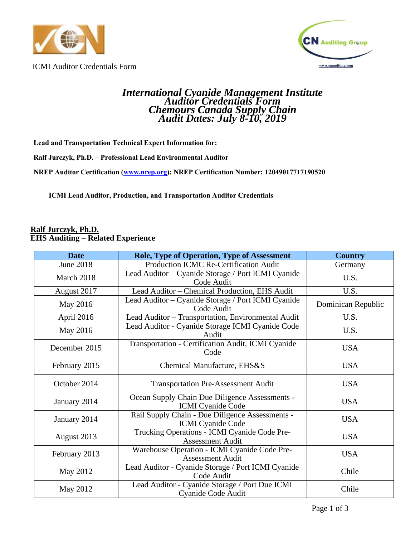



ICMI Auditor Credentials Form

# *International Cyanide Management Institute Auditor Credentials Form Chemours Canada Supply Chain Audit Dates: July 8-10, 2019*

**Lead and Transportation Technical Expert Information for:**

**Ralf Jurczyk, Ph.D. – Professional Lead Environmental Auditor**

**NREP Auditor Certification [\(www.nrep.org\)](http://www.nrep.org/): NREP Certification Number: 12049017717190520**

**ICMI Lead Auditor, Production, and Transportation Auditor Credentials**

#### **Ralf Jurczyk, Ph.D. EHS Auditing – Related Experience**

| <b>Date</b>   | <b>Role, Type of Operation, Type of Assessment</b>                          | <b>Country</b>     |
|---------------|-----------------------------------------------------------------------------|--------------------|
| June 2018     | Production ICMC Re-Certification Audit                                      | Germany            |
| March 2018    | Lead Auditor – Cyanide Storage / Port ICMI Cyanide<br>Code Audit            | U.S.               |
| August 2017   | Lead Auditor - Chemical Production, EHS Audit                               | U.S.               |
| May 2016      | Lead Auditor – Cyanide Storage / Port ICMI Cyanide<br>Code Audit            | Dominican Republic |
| April 2016    | Lead Auditor - Transportation, Environmental Audit                          | U.S.               |
| May 2016      | Lead Auditor - Cyanide Storage ICMI Cyanide Code<br>Audit                   | U.S.               |
| December 2015 | Transportation - Certification Audit, ICMI Cyanide<br>Code                  | <b>USA</b>         |
| February 2015 | Chemical Manufacture, EHS&S                                                 | <b>USA</b>         |
| October 2014  | <b>Transportation Pre-Assessment Audit</b>                                  | <b>USA</b>         |
| January 2014  | Ocean Supply Chain Due Diligence Assessments -<br><b>ICMI</b> Cyanide Code  | <b>USA</b>         |
| January 2014  | Rail Supply Chain - Due Diligence Assessments -<br><b>ICMI</b> Cyanide Code | <b>USA</b>         |
| August 2013   | Trucking Operations - ICMI Cyanide Code Pre-<br><b>Assessment Audit</b>     | <b>USA</b>         |
| February 2013 | Warehouse Operation - ICMI Cyanide Code Pre-<br><b>Assessment Audit</b>     | <b>USA</b>         |
| May 2012      | Lead Auditor - Cyanide Storage / Port ICMI Cyanide<br>Code Audit            | Chile              |
| May 2012      | Lead Auditor - Cyanide Storage / Port Due ICMI<br>Cyanide Code Audit        | Chile              |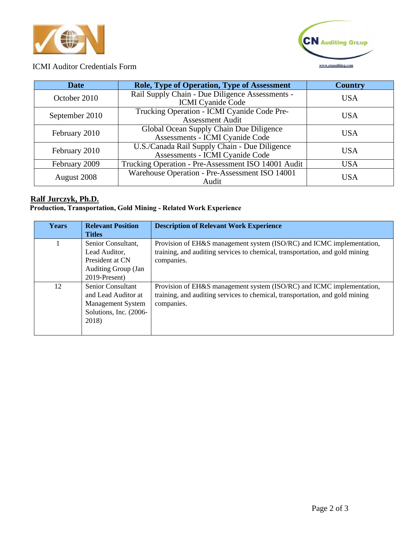



## ICMI Auditor Credentials Form

| <b>Date</b>    | <b>Role, Type of Operation, Type of Assessment</b>                               | <b>Country</b> |
|----------------|----------------------------------------------------------------------------------|----------------|
| October 2010   | Rail Supply Chain - Due Diligence Assessments -<br><b>ICMI</b> Cyanide Code      | <b>USA</b>     |
| September 2010 | Trucking Operation - ICMI Cyanide Code Pre-<br><b>Assessment Audit</b>           | USA            |
| February 2010  | Global Ocean Supply Chain Due Diligence<br>Assessments - ICMI Cyanide Code       | USA            |
| February 2010  | U.S./Canada Rail Supply Chain - Due Diligence<br>Assessments - ICMI Cyanide Code | USA            |
| February 2009  | Trucking Operation - Pre-Assessment ISO 14001 Audit                              | <b>USA</b>     |
| August 2008    | Warehouse Operation - Pre-Assessment ISO 14001<br>Audit                          | USA            |

### **Ralf Jurczyk, Ph.D.**

#### **Production, Transportation, Gold Mining - Related Work Experience**

| <b>Years</b> | <b>Relevant Position</b>   | <b>Description of Relevant Work Experience</b>                               |
|--------------|----------------------------|------------------------------------------------------------------------------|
|              | <b>Titles</b>              |                                                                              |
|              | Senior Consultant,         | Provision of EH&S management system (ISO/RC) and ICMC implementation,        |
|              | Lead Auditor,              | training, and auditing services to chemical, transportation, and gold mining |
|              | President at CN            | companies.                                                                   |
|              | <b>Auditing Group (Jan</b> |                                                                              |
|              | 2019-Present)              |                                                                              |
| 12           | <b>Senior Consultant</b>   | Provision of EH&S management system (ISO/RC) and ICMC implementation,        |
|              | and Lead Auditor at        | training, and auditing services to chemical, transportation, and gold mining |
|              | <b>Management System</b>   | companies.                                                                   |
|              | Solutions, Inc. (2006-     |                                                                              |
|              | 2018)                      |                                                                              |
|              |                            |                                                                              |